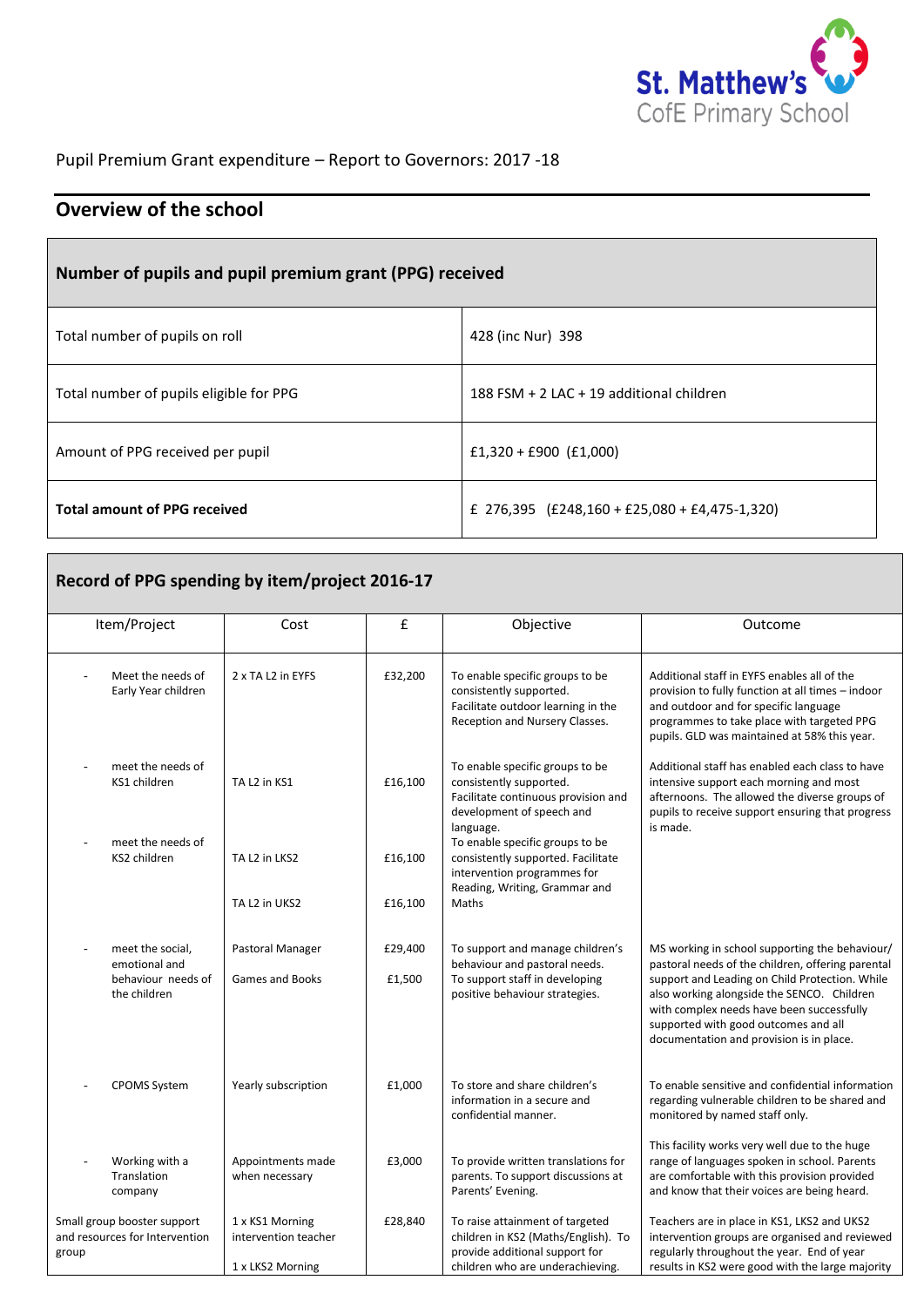

Pupil Premium Grant expenditure – Report to Governors: 2017 -18

## **Overview of the school**

## **Number of pupils and pupil premium grant (PPG) received**

| Total number of pupils on roll          | 428 (inc Nur) 398                               |
|-----------------------------------------|-------------------------------------------------|
| Total number of pupils eligible for PPG | 188 FSM + 2 LAC + 19 additional children        |
| Amount of PPG received per pupil        | £1,320 + £900 (£1,000)                          |
| <b>Total amount of PPG received</b>     | £ 276,395 $(E248,160 + E25,080 + E4,475-1,320)$ |

| Record of PPG spending by item/project 2016-17                          |                                                             |                   |                                                                                                                                              |                                                                                                                                                                                                                                                                                                                                      |  |
|-------------------------------------------------------------------------|-------------------------------------------------------------|-------------------|----------------------------------------------------------------------------------------------------------------------------------------------|--------------------------------------------------------------------------------------------------------------------------------------------------------------------------------------------------------------------------------------------------------------------------------------------------------------------------------------|--|
| Item/Project                                                            | Cost                                                        | £                 | Objective                                                                                                                                    | Outcome                                                                                                                                                                                                                                                                                                                              |  |
| Meet the needs of<br>Early Year children                                | 2 x TA L2 in EYFS                                           | £32,200           | To enable specific groups to be<br>consistently supported.<br>Facilitate outdoor learning in the<br>Reception and Nursery Classes.           | Additional staff in EYFS enables all of the<br>provision to fully function at all times - indoor<br>and outdoor and for specific language<br>programmes to take place with targeted PPG<br>pupils. GLD was maintained at 58% this year.                                                                                              |  |
| meet the needs of<br>KS1 children                                       | TA L <sub>2</sub> in KS1                                    | £16,100           | To enable specific groups to be<br>consistently supported.<br>Facilitate continuous provision and<br>development of speech and<br>language.  | Additional staff has enabled each class to have<br>intensive support each morning and most<br>afternoons. The allowed the diverse groups of<br>pupils to receive support ensuring that progress<br>is made.                                                                                                                          |  |
| meet the needs of<br>KS2 children                                       | TA L2 in LKS2                                               | £16,100           | To enable specific groups to be<br>consistently supported. Facilitate<br>intervention programmes for<br>Reading, Writing, Grammar and        |                                                                                                                                                                                                                                                                                                                                      |  |
|                                                                         | TA L2 in UKS2                                               | £16,100           | Maths                                                                                                                                        |                                                                                                                                                                                                                                                                                                                                      |  |
| meet the social,<br>emotional and<br>behaviour needs of<br>the children | Pastoral Manager<br><b>Games and Books</b>                  | £29,400<br>£1,500 | To support and manage children's<br>behaviour and pastoral needs.<br>To support staff in developing<br>positive behaviour strategies.        | MS working in school supporting the behaviour/<br>pastoral needs of the children, offering parental<br>support and Leading on Child Protection. While<br>also working alongside the SENCO. Children<br>with complex needs have been successfully<br>supported with good outcomes and all<br>documentation and provision is in place. |  |
| <b>CPOMS System</b>                                                     | Yearly subscription                                         | £1,000            | To store and share children's<br>information in a secure and<br>confidential manner.                                                         | To enable sensitive and confidential information<br>regarding vulnerable children to be shared and<br>monitored by named staff only.                                                                                                                                                                                                 |  |
| Working with a<br>Translation<br>company                                | Appointments made<br>when necessary                         | £3,000            | To provide written translations for<br>parents. To support discussions at<br>Parents' Evening.                                               | This facility works very well due to the huge<br>range of languages spoken in school. Parents<br>are comfortable with this provision provided<br>and know that their voices are being heard.                                                                                                                                         |  |
| Small group booster support<br>and resources for Intervention<br>group  | 1 x KS1 Morning<br>intervention teacher<br>1 x LKS2 Morning | £28,840           | To raise attainment of targeted<br>children in KS2 (Maths/English). To<br>provide additional support for<br>children who are underachieving. | Teachers are in place in KS1, LKS2 and UKS2<br>intervention groups are organised and reviewed<br>regularly throughout the year. End of year<br>results in KS2 were good with the large majority                                                                                                                                      |  |